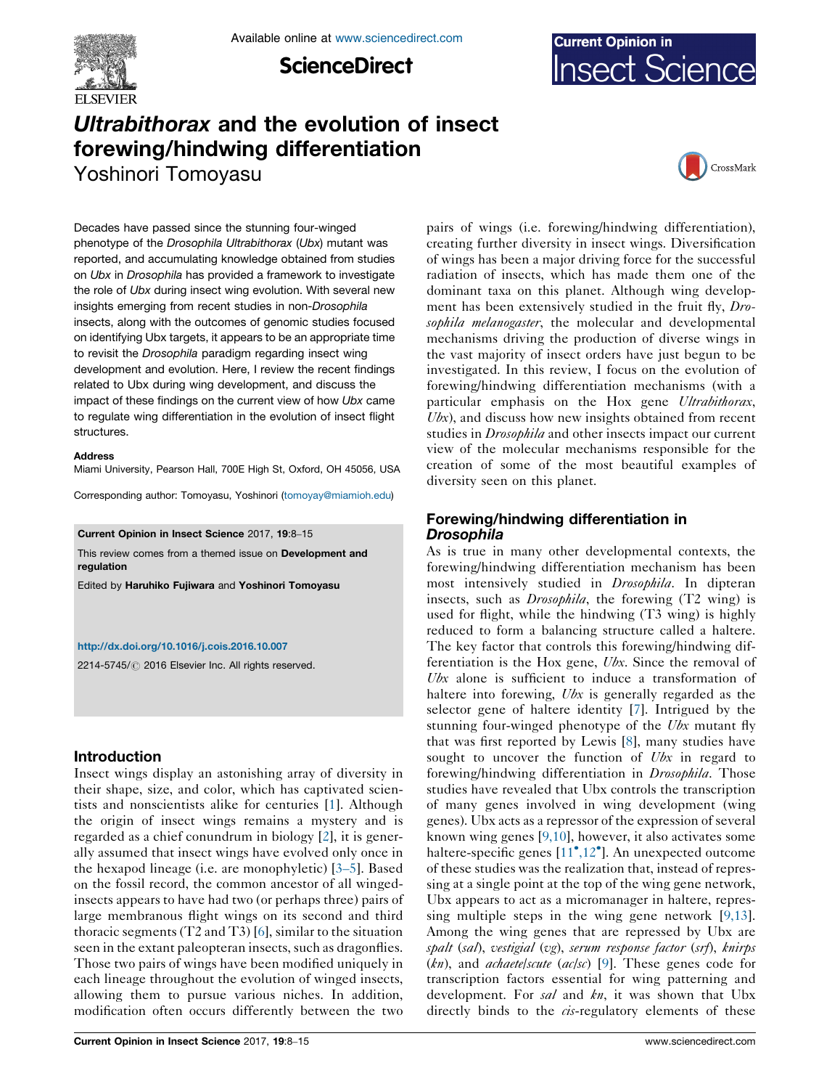

**ScienceDirect** 



# Ultrabithorax and the evolution of insect forewing/hindwing differentiation

Yoshinori Tomoyasu



Decades have passed since the stunning four-winged phenotype of the Drosophila Ultrabithorax (Ubx) mutant was reported, and accumulating knowledge obtained from studies on Ubx in Drosophila has provided a framework to investigate the role of Ubx during insect wing evolution. With several new insights emerging from recent studies in non-Drosophila insects, along with the outcomes of genomic studies focused on identifying Ubx targets, it appears to be an appropriate time to revisit the Drosophila paradigm regarding insect wing development and evolution. Here, I review the recent findings related to Ubx during wing development, and discuss the impact of these findings on the current view of how Ubx came to regulate wing differentiation in the evolution of insect flight structures.

#### Address

Miami University, Pearson Hall, 700E High St, Oxford, OH 45056, USA

Corresponding author: Tomoyasu, Yoshinori [\(tomoyay@miamioh.edu](mailto:tomoyay@miamioh.edu))

Current Opinion in Insect Science 2017, 19:8–15

This review comes from a themed issue on Development and regulation

Edited by Haruhiko Fujiwara and Yoshinori Tomoyasu

#### <http://dx.doi.org/10.1016/j.cois.2016.10.007>

2214-5745/ 2016 Elsevier Inc. All rights reserved.

# Introduction

Insect wings display an astonishing array of diversity in their shape, size, and color, which has captivated scientists and nonscientists alike for centuries [[1\]](#page-6-0). Although the origin of insect wings remains a mystery and is regarded as a chief conundrum in biology [\[2](#page-6-0)], it is generally assumed that insect wings have evolved only once in the hexapod lineage (i.e. are monophyletic) [3[–](#page-6-0)5]. Based on the fossil record, the common ancestor of all wingedinsects appears to have had two (or perhaps three) pairs of large membranous flight wings on its second and third thoracic segments (T2 and T3) [\[6](#page-6-0)], similar to the situation seen in the extant paleopteran insects, such as dragonflies. Those two pairs of wings have been modified uniquely in each lineage throughout the evolution of winged insects, allowing them to pursue various niches. In addition, modification often occurs differently between the two

pairs of wings (i.e. forewing/hindwing differentiation), creating further diversity in insect wings. Diversification of wings has been a major driving force for the successful radiation of insects, which has made them one of the dominant taxa on this planet. Although wing development has been extensively studied in the fruit fly, Drosophila melanogaster, the molecular and developmental mechanisms driving the production of diverse wings in the vast majority of insect orders have just begun to be investigated. In this review, I focus on the evolution of forewing/hindwing differentiation mechanisms (with a particular emphasis on the Hox gene Ultrabithorax,  $Ubx$ ), and discuss how new insights obtained from recent studies in *Drosophila* and other insects impact our current view of the molecular mechanisms responsible for the creation of some of the most beautiful examples of diversity seen on this planet.

# Forewing/hindwing differentiation in Drosophila

As is true in many other developmental contexts, the forewing/hindwing differentiation mechanism has been most intensively studied in *Drosophila*. In dipteran insects, such as Drosophila, the forewing (T2 wing) is used for flight, while the hindwing (T3 wing) is highly reduced to form a balancing structure called a haltere. The key factor that controls this forewing/hindwing differentiation is the Hox gene, Ubx. Since the removal of Ubx alone is sufficient to induce a transformation of haltere into forewing, Ubx is generally regarded as the selector gene of haltere identity [\[7](#page-6-0)]. Intrigued by the stunning four-winged phenotype of the Ubx mutant fly that was first reported by Lewis [[8\]](#page-6-0), many studies have sought to uncover the function of Ubx in regard to forewing/hindwing differentiation in Drosophila. Those studies have revealed that Ubx controls the transcription of many genes involved in wing development (wing genes). Ubx acts as a repressor of the expression of several known wing genes [[9,10](#page-6-0)], however, it also activates some haltere-specific genes [[11](#page-6-0)<sup>°</sup>[,12](#page-6-0)<sup>°</sup>]. An unexpected outcome of these studies was the realization that, instead of repressing at a single point at the top of the wing gene network, Ubx appears to act as a micromanager in haltere, repressing multiple steps in the wing gene network [\[9,13](#page-6-0)]. Among the wing genes that are repressed by Ubx are spalt (sal), vestigial (vg), serum response factor (srf), knirps  $(kn)$ , and *achaete|scute* (ac/sc) [\[9](#page-6-0)]. These genes code for transcription factors essential for wing patterning and development. For sal and kn, it was shown that Ubx directly binds to the *cis*-regulatory elements of these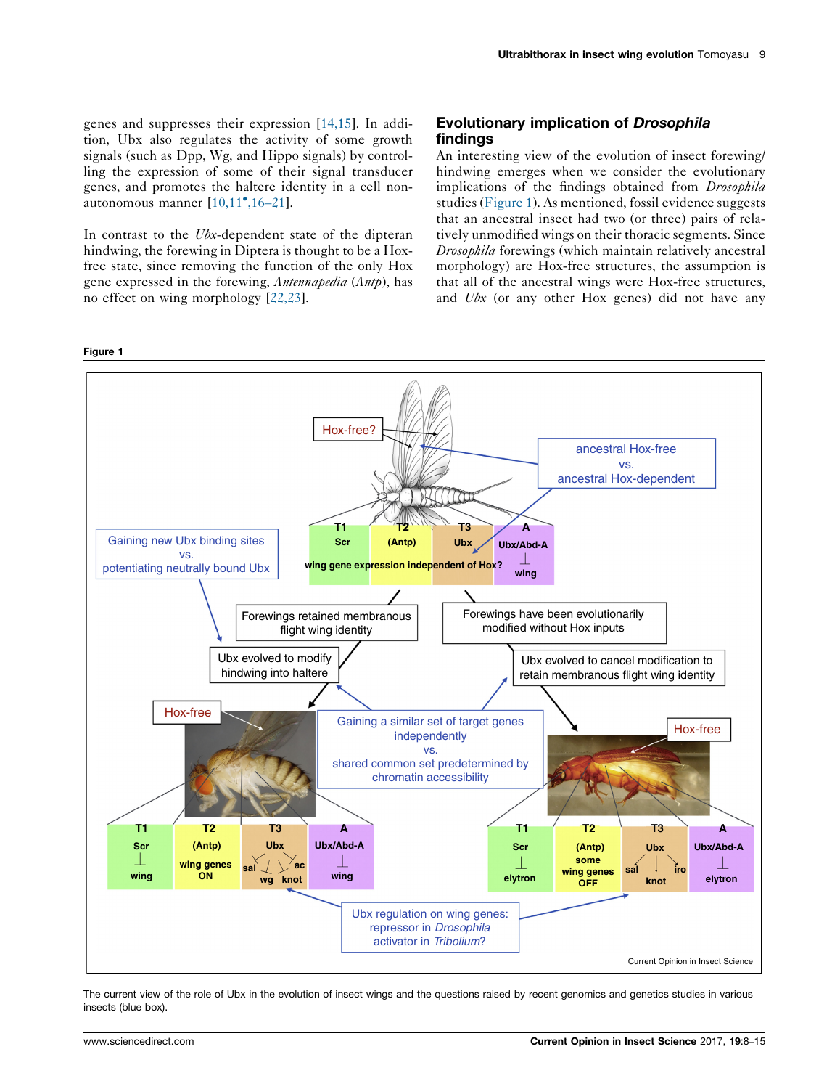<span id="page-1-0"></span>genes and suppresses their expression [[14,15](#page-6-0)]. In addition, Ubx also regulates the activity of some growth signals (such as Dpp, Wg, and Hippo signals) by controlling the expression of some of their signal transducer genes, and promotes the haltere identity in a cell non-autonomous manner [\[10,11](#page-6-0)<sup>•</sup>[,16](#page-6-0)–21].

In contrast to the *Ubx*-dependent state of the dipteran hindwing, the forewing in Diptera is thought to be a Hoxfree state, since removing the function of the only Hox gene expressed in the forewing, Antennapedia (Antp), has no effect on wing morphology [\[22,23\]](#page-7-0).

# Evolutionary implication of Drosophila findings

An interesting view of the evolution of insect forewing/ hindwing emerges when we consider the evolutionary implications of the findings obtained from *Drosophila* studies (Figure 1). As mentioned, fossil evidence suggests that an ancestral insect had two (or three) pairs of relatively unmodified wings on their thoracic segments. Since Drosophila forewings (which maintain relatively ancestral morphology) are Hox-free structures, the assumption is that all of the ancestral wings were Hox-free structures, and Ubx (or any other Hox genes) did not have any



The current view of the role of Ubx in the evolution of insect wings and the questions raised by recent genomics and genetics studies in various insects (blue box).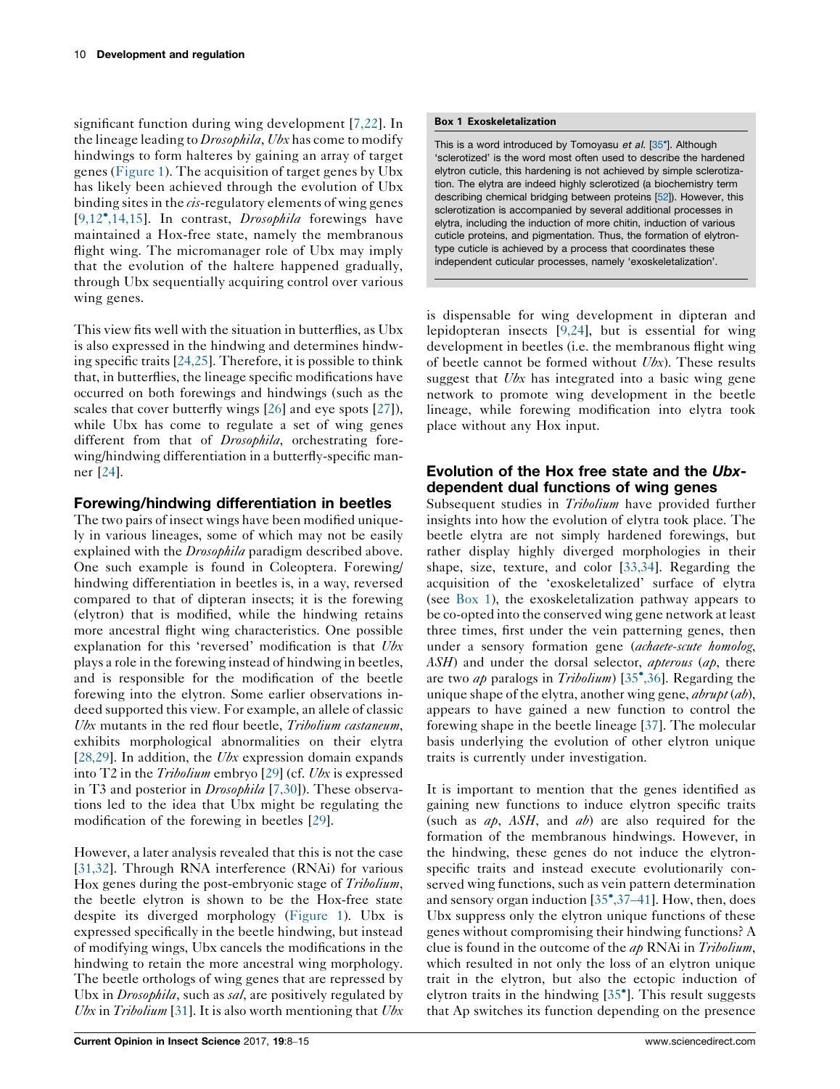significant function during wing development [[7,22\]](#page-6-0). In the lineage leading to *Drosophila*, Ubx has come to modify hindwings to form halteres by gaining an array of target genes [\(Figure](#page-1-0) 1). The acquisition of target genes by Ubx has likely been achieved through the evolution of Ubx binding sites in the *cis*-regulatory elements of wing genes [\[9,12](#page-6-0)<sup>\*</sup>[,14,15](#page-6-0)]. In contrast, *Drosophila* forewings have maintained a Hox-free state, namely the membranous flight wing. The micromanager role of Ubx may imply that the evolution of the haltere happened gradually, through Ubx sequentially acquiring control over various wing genes.

This view fits well with the situation in butterflies, as Ubx is also expressed in the hindwing and determines hindwing specific traits [\[24,25\]](#page-7-0). Therefore, it is possible to think that, in butterflies, the lineage specific modifications have occurred on both forewings and hindwings (such as the scales that cover butterfly wings [\[26](#page-7-0)] and eye spots [[27\]](#page-7-0)), while Ubx has come to regulate a set of wing genes different from that of *Drosophila*, orchestrating forewing/hindwing differentiation in a butterfly-specific manner [\[24](#page-7-0)].

# Forewing/hindwing differentiation in beetles

The two pairs of insect wings have been modified uniquely in various lineages, some of which may not be easily explained with the *Drosophila* paradigm described above. One such example is found in Coleoptera. Forewing/ hindwing differentiation in beetles is, in a way, reversed compared to that of dipteran insects; it is the forewing (elytron) that is modified, while the hindwing retains more ancestral flight wing characteristics. One possible explanation for this 'reversed' modification is that Ubx plays a role in the forewing instead of hindwing in beetles, and is responsible for the modification of the beetle forewing into the elytron. Some earlier observations indeed supported this view. For example, an allele of classic Ubx mutants in the red flour beetle, Tribolium castaneum, exhibits morphological abnormalities on their elytra [\[28,29\]](#page-7-0). In addition, the *Ubx* expression domain expands into T2 in the Tribolium embryo [[29\]](#page-7-0) (cf. Ubx is expressed in T3 and posterior in *Drosophila* [\[7,30\]](#page-6-0)). These observations led to the idea that Ubx might be regulating the modification of the forewing in beetles [[29\]](#page-7-0).

However, a later analysis revealed that this is not the case [\[31,32\]](#page-7-0). Through RNA interference (RNAi) for various Hox genes during the post-embryonic stage of *Tribolium*, the beetle elytron is shown to be the Hox-free state despite its diverged morphology [\(Figure](#page-1-0) 1). Ubx is expressed specifically in the beetle hindwing, but instead of modifying wings, Ubx cancels the modifications in the hindwing to retain the more ancestral wing morphology. The beetle orthologs of wing genes that are repressed by Ubx in *Drosophila*, such as sal, are positively regulated by Ubx in Tribolium [[31\]](#page-7-0). It is also worth mentioning that  $Ubx$ 

This is a word introduced by Tomoyasu et al. [[35](#page-7-0)<sup>\*</sup>]. Although 'sclerotized' is the word most often used to describe the hardened elytron cuticle, this hardening is not achieved by simple sclerotization. The elytra are indeed highly sclerotized (a biochemistry term describing chemical bridging between proteins [[52\]](#page-7-0)). However, this sclerotization is accompanied by several additional processes in elytra, including the induction of more chitin, induction of various cuticle proteins, and pigmentation. Thus, the formation of elytrontype cuticle is achieved by a process that coordinates these independent cuticular processes, namely 'exoskeletalization'.

is dispensable for wing development in dipteran and lepidopteran insects [[9,24](#page-6-0)], but is essential for wing development in beetles (i.e. the membranous flight wing of beetle cannot be formed without  $Ubx$ ). These results suggest that Ubx has integrated into a basic wing gene network to promote wing development in the beetle lineage, while forewing modification into elytra took place without any Hox input.

# Evolution of the Hox free state and the Ubxdependent dual functions of wing genes

Subsequent studies in *Tribolium* have provided further insights into how the evolution of elytra took place. The beetle elytra are not simply hardened forewings, but rather display highly diverged morphologies in their shape, size, texture, and color [[33,34](#page-7-0)]. Regarding the acquisition of the 'exoskeletalized' surface of elytra (see Box 1), the exoskeletalization pathway appears to be co-opted into the conserved wing gene network at least three times, first under the vein patterning genes, then under a sensory formation gene (achaete-scute homolog,  $ASH$ ) and under the dorsal selector, *apterous* ( $ap$ , there are two ap paralogs in Tribolium) [[35](#page-7-0)°[,36](#page-7-0)]. Regarding the unique shape of the elytra, another wing gene,  $abrupt(ab)$ , appears to have gained a new function to control the forewing shape in the beetle lineage [\[37](#page-7-0)]. The molecular basis underlying the evolution of other elytron unique traits is currently under investigation.

It is important to mention that the genes identified as gaining new functions to induce elytron specific traits (such as  $ap$ , ASH, and  $ab$ ) are also required for the formation of the membranous hindwings. However, in the hindwing, these genes do not induce the elytronspecific traits and instead execute evolutionarily conserved wing functions, such as vein pattern determination and sensory organ induction [[35](#page-7-0)[,37](#page-7-0)-41]. How, then, does Ubx suppress only the elytron unique functions of these genes without compromising their hindwing functions? A clue is found in the outcome of the ap RNAi in Tribolium, which resulted in not only the loss of an elytron unique trait in the elytron, but also the ectopic induction of elytron traits in the hindwing [\[35](#page-7-0)<sup>°</sup>]. This result suggests that Ap switches its function depending on the presence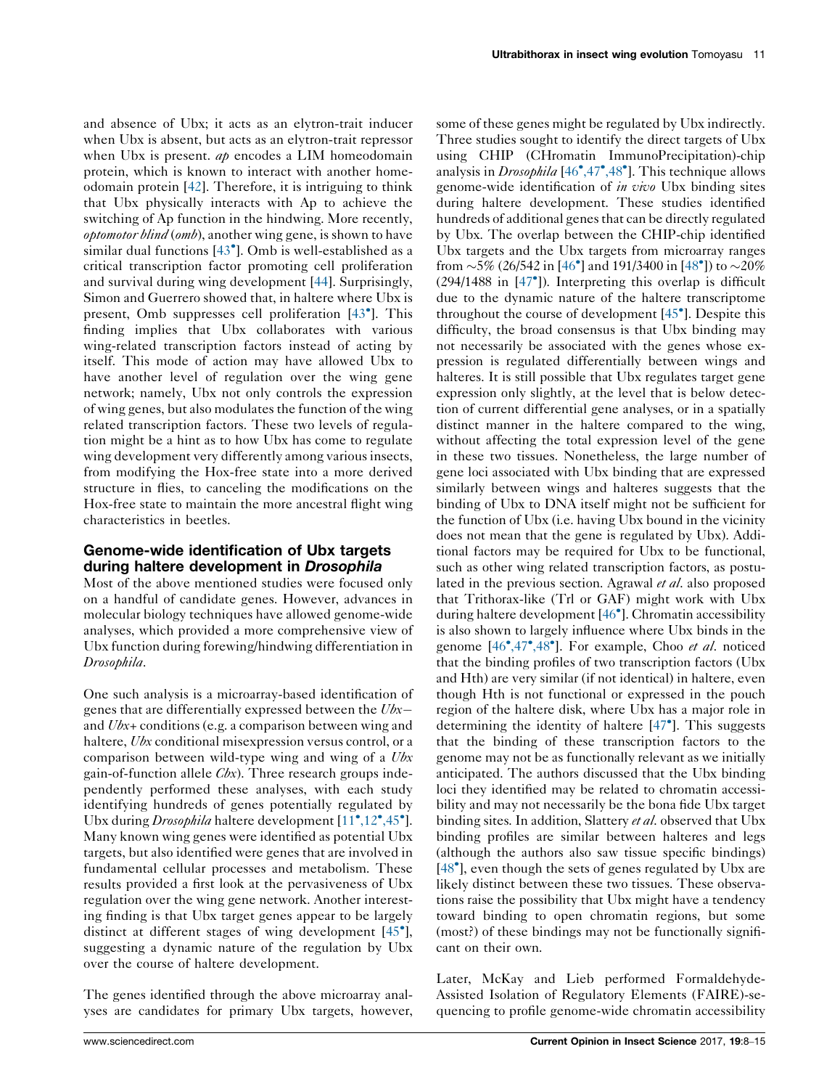and absence of Ubx; it acts as an elytron-trait inducer when Ubx is absent, but acts as an elytron-trait repressor when Ubx is present.  $a\phi$  encodes a LIM homeodomain protein, which is known to interact with another homeodomain protein [\[42](#page-7-0)]. Therefore, it is intriguing to think that Ubx physically interacts with Ap to achieve the switching of Ap function in the hindwing. More recently, optomotor blind (omb), another wing gene, is shown to have similar dual functions [\[43](#page-7-0)<sup>°</sup>]. Omb is well-established as a critical transcription factor promoting cell proliferation and survival during wing development [\[44](#page-7-0)]. Surprisingly, Simon and Guerrero showed that, in haltere where Ubx is present, Omb suppresses cell proliferation [[43](#page-7-0)<sup>°</sup>]. This finding implies that Ubx collaborates with various wing-related transcription factors instead of acting by itself. This mode of action may have allowed Ubx to have another level of regulation over the wing gene network; namely, Ubx not only controls the expression of wing genes, but also modulates the function of the wing related transcription factors. These two levels of regulation might be a hint as to how Ubx has come to regulate wing development very differently among various insects, from modifying the Hox-free state into a more derived structure in flies, to canceling the modifications on the Hox-free state to maintain the more ancestral flight wing characteristics in beetles.

## Genome-wide identification of Ubx targets during haltere development in Drosophila

Most of the above mentioned studies were focused only on a handful of candidate genes. However, advances in molecular biology techniques have allowed genome-wide analyses, which provided a more comprehensive view of Ubx function during forewing/hindwing differentiation in Drosophila.

One such analysis is a microarray-based identification of genes that are differentially expressed between the Ubxand Ubx+ conditions (e.g. a comparison between wing and haltere, Ubx conditional misexpression versus control, or a comparison between wild-type wing and wing of a Ubx gain-of-function allele  $Cbx$ ). Three research groups independently performed these analyses, with each study identifying hundreds of genes potentially regulated by Ubx during Drosophila haltere development [\[11](#page-6-0)°[,12](#page-6-0)°[,45](#page-6-0)°]. Many known wing genes were identified as potential Ubx targets, but also identified were genes that are involved in fundamental cellular processes and metabolism. These results provided a first look at the pervasiveness of Ubx regulation over the wing gene network. Another interesting finding is that Ubx target genes appear to be largely distinct at different stages of wing development [[45](#page-7-0)<sup>°</sup>], suggesting a dynamic nature of the regulation by Ubx over the course of haltere development.

The genes identified through the above microarray analyses are candidates for primary Ubx targets, however,

some of these genes might be regulated by Ubx indirectly. Three studies sought to identify the direct targets of Ubx using CHIP (CHromatin ImmunoPrecipitation)-chip analysis in *Drosophila* [\[46](#page-7-0)<sup> $\bullet$ </sup>[,47](#page-7-0) $\bullet$ [,48](#page-7-0) $\bullet$ ]. This technique allows genome-wide identification of in vivo Ubx binding sites during haltere development. These studies identified hundreds of additional genes that can be directly regulated by Ubx. The overlap between the CHIP-chip identified Ubx targets and the Ubx targets from microarray ranges from  $\sim$  5% (26/542 in [[46](#page-7-0)<sup>°</sup>] and 191/3400 in [[48](#page-7-0)<sup>°</sup>]) to  $\sim$  20% (294/1488 in [[47](#page-7-0)- ]). Interpreting this overlap is difficult due to the dynamic nature of the haltere transcriptome throughout the course of development [\[45](#page-7-0)<sup>°</sup>]. Despite this difficulty, the broad consensus is that Ubx binding may not necessarily be associated with the genes whose expression is regulated differentially between wings and halteres. It is still possible that Ubx regulates target gene expression only slightly, at the level that is below detection of current differential gene analyses, or in a spatially distinct manner in the haltere compared to the wing, without affecting the total expression level of the gene in these two tissues. Nonetheless, the large number of gene loci associated with Ubx binding that are expressed similarly between wings and halteres suggests that the binding of Ubx to DNA itself might not be sufficient for the function of Ubx (i.e. having Ubx bound in the vicinity does not mean that the gene is regulated by Ubx). Additional factors may be required for Ubx to be functional, such as other wing related transcription factors, as postulated in the previous section. Agrawal *et al*. also proposed that Trithorax-like (Trl or GAF) might work with Ubx during haltere development [\[46](#page-7-0)<sup>°</sup>]. Chromatin accessibility is also shown to largely influence where Ubx binds in the genome [\[46](#page-7-0)°[,47](#page-7-0)°[,48](#page-7-0)°]. For example, Choo et al. noticed that the binding profiles of two transcription factors (Ubx and Hth) are very similar (if not identical) in haltere, even though Hth is not functional or expressed in the pouch region of the haltere disk, where Ubx has a major role in determining the identity of haltere [[47](#page-7-0)<sup>°</sup>]. This suggests that the binding of these transcription factors to the genome may not be as functionally relevant as we initially anticipated. The authors discussed that the Ubx binding loci they identified may be related to chromatin accessibility and may not necessarily be the bona fide Ubx target binding sites. In addition, Slattery et al. observed that Ubx binding profiles are similar between halteres and legs (although the authors also saw tissue specific bindings) [\[48](#page-7-0)<sup>\*</sup>], even though the sets of genes regulated by Ubx are likely distinct between these two tissues. These observations raise the possibility that Ubx might have a tendency toward binding to open chromatin regions, but some (most?) of these bindings may not be functionally significant on their own.

Later, McKay and Lieb performed Formaldehyde-Assisted Isolation of Regulatory Elements (FAIRE)-sequencing to profile genome-wide chromatin accessibility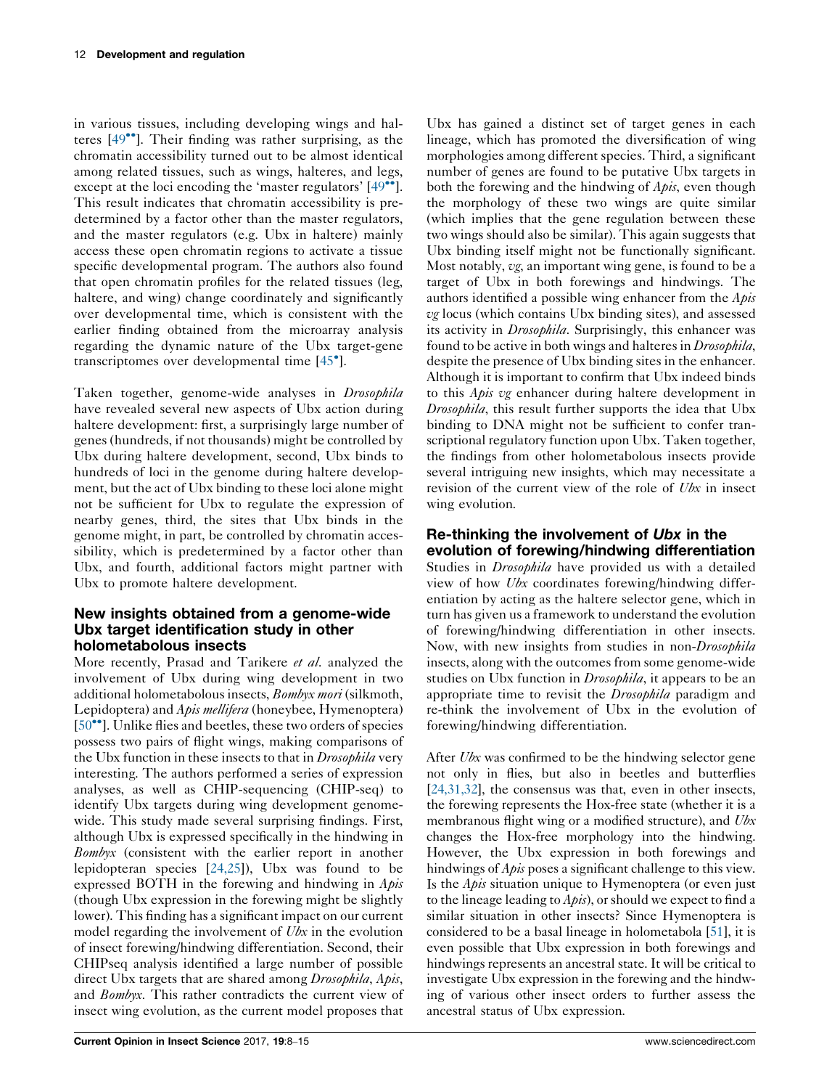in various tissues, including developing wings and hal-teres [[49](#page-7-0)<sup>••</sup>]. Their finding was rather surprising, as the chromatin accessibility turned out to be almost identical among related tissues, such as wings, halteres, and legs, except at the loci encoding the 'master regulators' [[49](#page-7-0)"]. This result indicates that chromatin accessibility is predetermined by a factor other than the master regulators, and the master regulators (e.g. Ubx in haltere) mainly access these open chromatin regions to activate a tissue specific developmental program. The authors also found that open chromatin profiles for the related tissues (leg, haltere, and wing) change coordinately and significantly over developmental time, which is consistent with the earlier finding obtained from the microarray analysis regarding the dynamic nature of the Ubx target-gene transcriptomes over developmental time [[45](#page-7-0)<sup>°</sup>].

Taken together, genome-wide analyses in *Drosophila* have revealed several new aspects of Ubx action during haltere development: first, a surprisingly large number of genes (hundreds, if not thousands) might be controlled by Ubx during haltere development, second, Ubx binds to hundreds of loci in the genome during haltere development, but the act of Ubx binding to these loci alone might not be sufficient for Ubx to regulate the expression of nearby genes, third, the sites that Ubx binds in the genome might, in part, be controlled by chromatin accessibility, which is predetermined by a factor other than Ubx, and fourth, additional factors might partner with Ubx to promote haltere development.

## New insights obtained from a genome-wide Ubx target identification study in other holometabolous insects

More recently, Prasad and Tarikere et al. analyzed the involvement of Ubx during wing development in two additional holometabolous insects, Bombyx mori (silkmoth, Lepidoptera) and Apis mellifera (honeybee, Hymenoptera) [\[50](#page-7-0)<sup>••</sup>]. Unlike flies and beetles, these two orders of species possess two pairs of flight wings, making comparisons of the Ubx function in these insects to that in *Drosophila* very interesting. The authors performed a series of expression analyses, as well as CHIP-sequencing (CHIP-seq) to identify Ubx targets during wing development genomewide. This study made several surprising findings. First, although Ubx is expressed specifically in the hindwing in Bombyx (consistent with the earlier report in another lepidopteran species [\[24,25\]](#page-7-0)), Ubx was found to be expressed BOTH in the forewing and hindwing in  $A \rho i s$ (though Ubx expression in the forewing might be slightly lower). This finding has a significant impact on our current model regarding the involvement of Ubx in the evolution of insect forewing/hindwing differentiation. Second, their CHIPseq analysis identified a large number of possible direct Ubx targets that are shared among *Drosophila*, Apis, and Bombyx. This rather contradicts the current view of insect wing evolution, as the current model proposes that

Ubx has gained a distinct set of target genes in each lineage, which has promoted the diversification of wing morphologies among different species. Third, a significant number of genes are found to be putative Ubx targets in both the forewing and the hindwing of *Apis*, even though the morphology of these two wings are quite similar (which implies that the gene regulation between these two wings should also be similar). This again suggests that Ubx binding itself might not be functionally significant. Most notably, vg, an important wing gene, is found to be a target of Ubx in both forewings and hindwings. The authors identified a possible wing enhancer from the Apis vg locus (which contains Ubx binding sites), and assessed its activity in *Drosophila*. Surprisingly, this enhancer was found to be active in both wings and halteres in *Drosophila*, despite the presence of Ubx binding sites in the enhancer. Although it is important to confirm that Ubx indeed binds to this Apis vg enhancer during haltere development in Drosophila, this result further supports the idea that Ubx binding to DNA might not be sufficient to confer transcriptional regulatory function upon Ubx. Taken together, the findings from other holometabolous insects provide several intriguing new insights, which may necessitate a revision of the current view of the role of Ubx in insect wing evolution.

# Re-thinking the involvement of Ubx in the evolution of forewing/hindwing differentiation

Studies in Drosophila have provided us with a detailed view of how Ubx coordinates forewing/hindwing differentiation by acting as the haltere selector gene, which in turn has given us a framework to understand the evolution of forewing/hindwing differentiation in other insects. Now, with new insights from studies in non-Drosophila insects, along with the outcomes from some genome-wide studies on Ubx function in *Drosophila*, it appears to be an appropriate time to revisit the *Drosophila* paradigm and re-think the involvement of Ubx in the evolution of forewing/hindwing differentiation.

After Ubx was confirmed to be the hindwing selector gene not only in flies, but also in beetles and butterflies [\[24,31,32](#page-7-0)], the consensus was that, even in other insects, the forewing represents the Hox-free state (whether it is a membranous flight wing or a modified structure), and Ubx changes the Hox-free morphology into the hindwing. However, the Ubx expression in both forewings and hindwings of *Apis* poses a significant challenge to this view. Is the  $A \rho i s$  situation unique to Hymenoptera (or even just to the lineage leading to  $A \rho i s$ , or should we expect to find a similar situation in other insects? Since Hymenoptera is considered to be a basal lineage in holometabola [\[51\]](#page-7-0), it is even possible that Ubx expression in both forewings and hindwings represents an ancestral state. It will be critical to investigate Ubx expression in the forewing and the hindwing of various other insect orders to further assess the ancestral status of Ubx expression.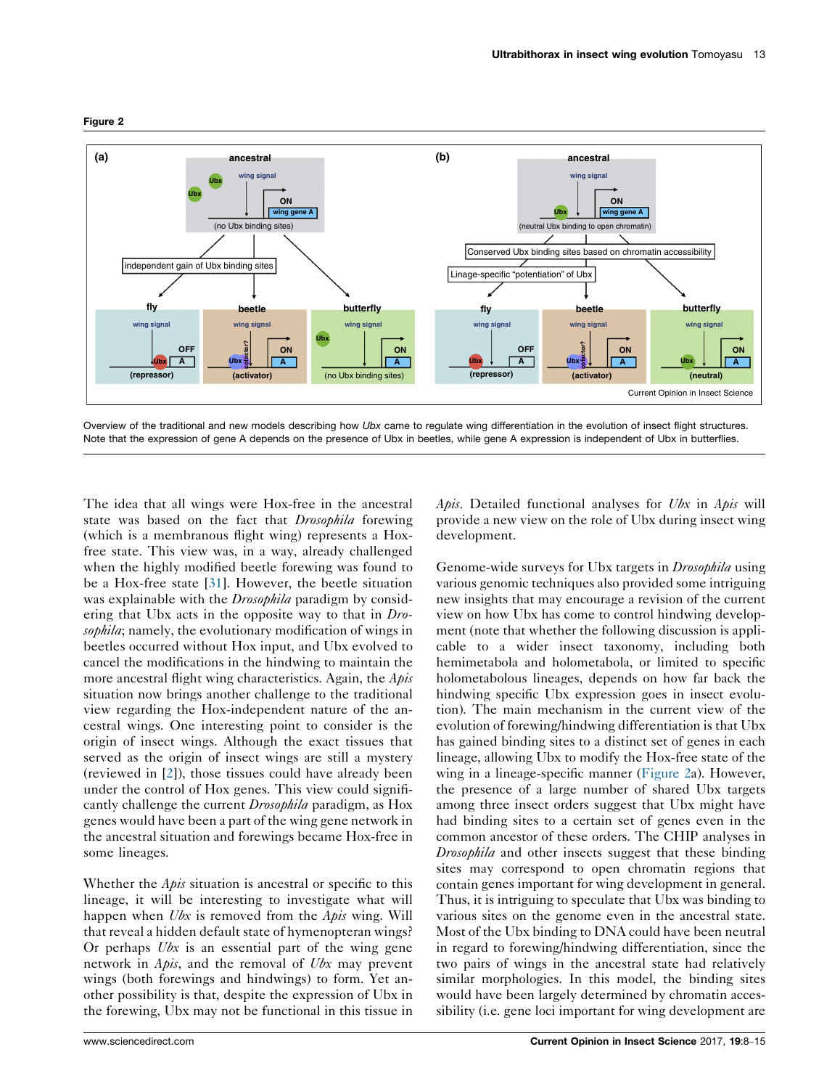

#### <span id="page-5-0"></span>Figure 2

Overview of the traditional and new models describing how Ubx came to regulate wing differentiation in the evolution of insect flight structures. Note that the expression of gene A depends on the presence of Ubx in beetles, while gene A expression is independent of Ubx in butterflies.

The idea that all wings were Hox-free in the ancestral state was based on the fact that *Drosophila* forewing (which is a membranous flight wing) represents a Hoxfree state. This view was, in a way, already challenged when the highly modified beetle forewing was found to be a Hox-free state [\[31](#page-7-0)]. However, the beetle situation was explainable with the *Drosophila* paradigm by considering that Ubx acts in the opposite way to that in Drosophila; namely, the evolutionary modification of wings in beetles occurred without Hox input, and Ubx evolved to cancel the modifications in the hindwing to maintain the more ancestral flight wing characteristics. Again, the *Apis* situation now brings another challenge to the traditional view regarding the Hox-independent nature of the ancestral wings. One interesting point to consider is the origin of insect wings. Although the exact tissues that served as the origin of insect wings are still a mystery (reviewed in [\[2](#page-6-0)]), those tissues could have already been under the control of Hox genes. This view could significantly challenge the current *Drosophila* paradigm, as Hox genes would have been a part of the wing gene network in the ancestral situation and forewings became Hox-free in some lineages.

Whether the  $A \rho i s$  situation is ancestral or specific to this lineage, it will be interesting to investigate what will happen when  $Ubx$  is removed from the  $Apis$  wing. Will that reveal a hidden default state of hymenopteran wings? Or perhaps  $Ubx$  is an essential part of the wing gene network in Apis, and the removal of Ubx may prevent wings (both forewings and hindwings) to form. Yet another possibility is that, despite the expression of Ubx in the forewing, Ubx may not be functional in this tissue in *Apis.* Detailed functional analyses for  $Ubx$  in Apis will provide a new view on the role of Ubx during insect wing development.

Genome-wide surveys for Ubx targets in *Drosophila* using various genomic techniques also provided some intriguing new insights that may encourage a revision of the current view on how Ubx has come to control hindwing development (note that whether the following discussion is applicable to a wider insect taxonomy, including both hemimetabola and holometabola, or limited to specific holometabolous lineages, depends on how far back the hindwing specific Ubx expression goes in insect evolution). The main mechanism in the current view of the evolution of forewing/hindwing differentiation is that Ubx has gained binding sites to a distinct set of genes in each lineage, allowing Ubx to modify the Hox-free state of the wing in a lineage-specific manner (Figure 2a). However, the presence of a large number of shared Ubx targets among three insect orders suggest that Ubx might have had binding sites to a certain set of genes even in the common ancestor of these orders. The CHIP analyses in Drosophila and other insects suggest that these binding sites may correspond to open chromatin regions that contain genes important for wing development in general. Thus, it is intriguing to speculate that Ubx was binding to various sites on the genome even in the ancestral state. Most of the Ubx binding to DNA could have been neutral in regard to forewing/hindwing differentiation, since the two pairs of wings in the ancestral state had relatively similar morphologies. In this model, the binding sites would have been largely determined by chromatin accessibility (i.e. gene loci important for wing development are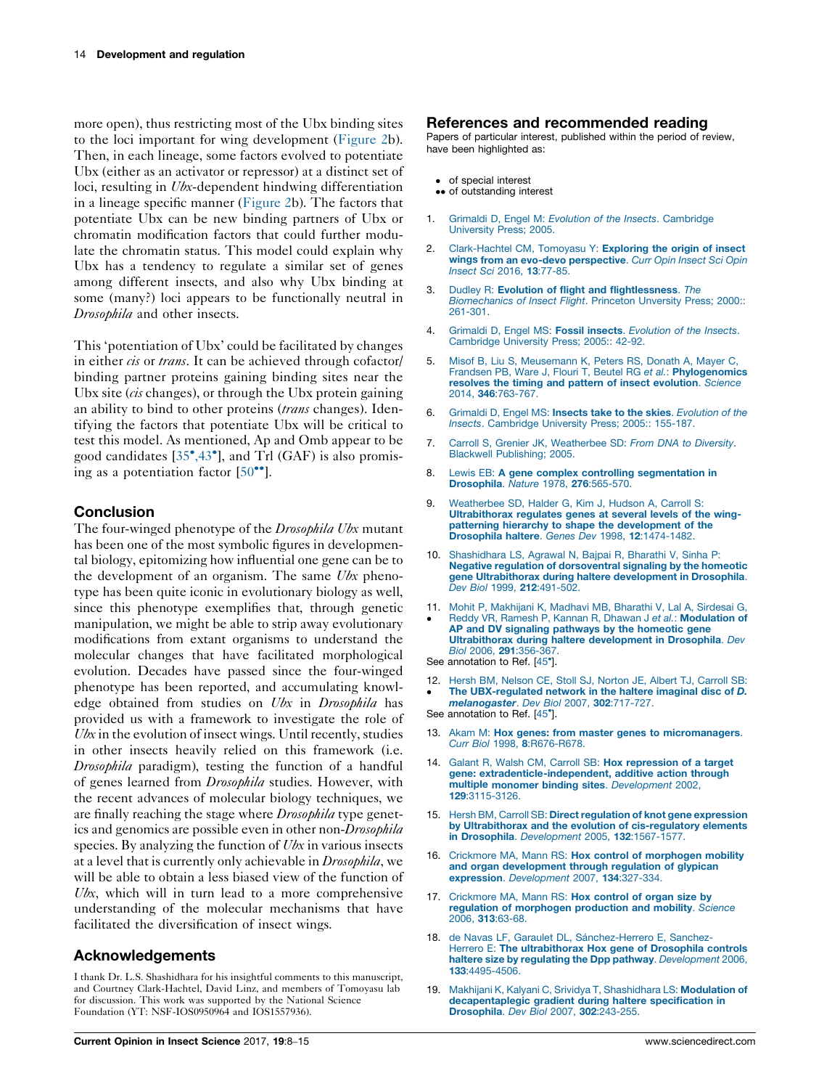<span id="page-6-0"></span>more open), thus restricting most of the Ubx binding sites to the loci important for wing development ([Figure](#page-5-0) 2b). Then, in each lineage, some factors evolved to potentiate Ubx (either as an activator or repressor) at a distinct set of loci, resulting in *Ubx*-dependent hindwing differentiation in a lineage specific manner ([Figure](#page-5-0) 2b). The factors that potentiate Ubx can be new binding partners of Ubx or chromatin modification factors that could further modulate the chromatin status. This model could explain why Ubx has a tendency to regulate a similar set of genes among different insects, and also why Ubx binding at some (many?) loci appears to be functionally neutral in Drosophila and other insects.

This 'potentiation of Ubx' could be facilitated by changes in either *cis* or trans. It can be achieved through cofactor/ binding partner proteins gaining binding sites near the Ubx site  $(cis$  changes), or through the Ubx protein gaining an ability to bind to other proteins (*trans* changes). Identifying the factors that potentiate Ubx will be critical to test this model. As mentioned, Ap and Omb appear to be good candidates [[35](#page-7-0)°[,43](#page-7-0)°], and Trl (GAF) is also promising as a potentiation factor  $[50^{\bullet\bullet}]$  $[50^{\bullet\bullet}]$ .

## **Conclusion**

The four-winged phenotype of the *Drosophila Ubx* mutant has been one of the most symbolic figures in developmental biology, epitomizing how influential one gene can be to the development of an organism. The same Ubx phenotype has been quite iconic in evolutionary biology as well, since this phenotype exemplifies that, through genetic manipulation, we might be able to strip away evolutionary modifications from extant organisms to understand the molecular changes that have facilitated morphological evolution. Decades have passed since the four-winged phenotype has been reported, and accumulating knowledge obtained from studies on Ubx in Drosophila has provided us with a framework to investigate the role of  $Ubx$  in the evolution of insect wings. Until recently, studies in other insects heavily relied on this framework (i.e. Drosophila paradigm), testing the function of a handful of genes learned from Drosophila studies. However, with the recent advances of molecular biology techniques, we are finally reaching the stage where Drosophila type genetics and genomics are possible even in other non-Drosophila species. By analyzing the function of Ubx in various insects at a level that is currently only achievable in Drosophila, we will be able to obtain a less biased view of the function of Ubx, which will in turn lead to a more comprehensive understanding of the molecular mechanisms that have facilitated the diversification of insect wings.

## Acknowledgements

I thank Dr. L.S. Shashidhara for his insightful comments to this manuscript, and Courtney Clark-Hachtel, David Linz, and members of Tomoyasu lab for discussion. This work was supported by the National Science Foundation (YT: NSF-IOS0950964 and IOS1557936).

## References and recommended reading

Papers of particular interest, published within the period of review, have been highlighted as:

- of special interest
- •• of outstanding interest
- 1. Grimaldi D. Engel M: Evolution of the Insects. [Cambridge](http://refhub.elsevier.com/S2214-5745(16)30163-8/sbref0265) [University](http://refhub.elsevier.com/S2214-5745(16)30163-8/sbref0265) Press; 2005.
- 2. [Clark-Hachtel](http://refhub.elsevier.com/S2214-5745(16)30163-8/sbref0270) CM, Tomoyasu Y: Exploring the origin of insect wings from an evo-devo [perspective](http://refhub.elsevier.com/S2214-5745(16)30163-8/sbref0270). Curr Opin Insect Sci Opin Insect Sci 2016, 13[:77-85.](http://refhub.elsevier.com/S2214-5745(16)30163-8/sbref0270)
- 3. Dudley R: Evolution of flight and [flightlessness](http://refhub.elsevier.com/S2214-5745(16)30163-8/sbref0275). The [Biomechanics](http://refhub.elsevier.com/S2214-5745(16)30163-8/sbref0275) of Insect Flight. Princeton Unversity Press; 2000:[:](http://refhub.elsevier.com/S2214-5745(16)30163-8/sbref0275) [261-301](http://refhub.elsevier.com/S2214-5745(16)30163-8/sbref0275).
- 4. Grimaldi D, Engel MS: Fossil insects. [Evolution](http://refhub.elsevier.com/S2214-5745(16)30163-8/sbref0280) of the Insects. [Cambridge](http://refhub.elsevier.com/S2214-5745(16)30163-8/sbref0280) University Press; 2005:: [42-92.](http://refhub.elsevier.com/S2214-5745(16)30163-8/sbref0280)
- 5. Misof B, Liu S, [Meusemann](http://refhub.elsevier.com/S2214-5745(16)30163-8/sbref0285) K, Peters RS, Donath A, Mayer C, Frandsen PB, Ware J, Flouri T, Beutel RG et al.: [Phylogenomics](http://refhub.elsevier.com/S2214-5745(16)30163-8/sbref0285) resolves the timing and pattern of insect [evolution](http://refhub.elsevier.com/S2214-5745(16)30163-8/sbref0285). Science 2014, 346[:763-767.](http://refhub.elsevier.com/S2214-5745(16)30163-8/sbref0285)
- 6. Grimaldi D, Engel MS: Insects take to the skies. [Evolution](http://refhub.elsevier.com/S2214-5745(16)30163-8/sbref0290) of the Insects. [Cambridge](http://refhub.elsevier.com/S2214-5745(16)30163-8/sbref0290) University Press; 2005:: [155-187](http://refhub.elsevier.com/S2214-5745(16)30163-8/sbref0290).
- 7. Carroll S, Grenier JK, [Weatherbee](http://refhub.elsevier.com/S2214-5745(16)30163-8/sbref0295) SD: From DNA to Diversity. Blackwell [Publishing;](http://refhub.elsevier.com/S2214-5745(16)30163-8/sbref0295) 2005.
- 8. Lewis EB: A gene complex controlling [segmentation](http://refhub.elsevier.com/S2214-5745(16)30163-8/sbref0300) in [Drosophila](http://refhub.elsevier.com/S2214-5745(16)30163-8/sbref0300). Nature 1978, 276:565-570.
- 9. [Weatherbee](http://refhub.elsevier.com/S2214-5745(16)30163-8/sbref0305) SD, Halder G, Kim J, Hudson A, Carroll S: [Ultrabithorax](http://refhub.elsevier.com/S2214-5745(16)30163-8/sbref0305) regulates genes at several levels of the wingpatterning hierarchy to shape the [development](http://refhub.elsevier.com/S2214-5745(16)30163-8/sbref0305) of the Drosophila haltere. Genes Dev 1998, 12[:1474-1482.](http://refhub.elsevier.com/S2214-5745(16)30163-8/sbref0305)
- 10. [Shashidhara](http://refhub.elsevier.com/S2214-5745(16)30163-8/sbref0310) LS, Agrawal N, Bajpai R, Bharathi V, Sinha P: Negative regulation of [dorsoventral](http://refhub.elsevier.com/S2214-5745(16)30163-8/sbref0310) signaling by the homeotic gene [Ultrabithorax](http://refhub.elsevier.com/S2214-5745(16)30163-8/sbref0310) during haltere development in Drosophila. Dev Biol 1999, 212[:491-502.](http://refhub.elsevier.com/S2214-5745(16)30163-8/sbref0310)
- 11. Mohit P, [Makhijani](http://refhub.elsevier.com/S2214-5745(16)30163-8/sbref0315) K, Madhavi MB, Bharathi V, Lal A, Sirdesai G, -Reddy VR, Ramesh P, Kannan R, Dhawan J et al.: [Modulation](http://refhub.elsevier.com/S2214-5745(16)30163-8/sbref0315) of AP and DV signaling [pathways](http://refhub.elsevier.com/S2214-5745(16)30163-8/sbref0315) by the homeotic gene Ultrabithorax during haltere [development](http://refhub.elsevier.com/S2214-5745(16)30163-8/sbref0315) in Drosophila. Dev<br>Biol 2006, 291[:356-367.](http://refhub.elsevier.com/S2214-5745(16)30163-8/sbref0315)
- See annotation to Ref. [\[45](#page-7-0)<sup>°</sup>].
- 12. -Hersh BM, [Nelson](http://refhub.elsevier.com/S2214-5745(16)30163-8/sbref0320) CE, Stoll SJ, Norton JE, Albert TJ, Carroll SB: The [UBX-regulated](http://refhub.elsevier.com/S2214-5745(16)30163-8/sbref0320) network in the haltere imaginal disc of D. [melanogaster](http://refhub.elsevier.com/S2214-5745(16)30163-8/sbref0320). Dev Biol 2007, 302:717-727.
- See annotation to Ref. [\[45](#page-7-0)<sup>°</sup>].
- 13. Akam M: Hox genes: from master genes to [micromanagers](http://refhub.elsevier.com/S2214-5745(16)30163-8/sbref0325). Curr Biol 1998, 8[:R676-R678.](http://refhub.elsevier.com/S2214-5745(16)30163-8/sbref0325)
- 14. Galant R, Walsh CM, Carroll SB: Hox [repression](http://refhub.elsevier.com/S2214-5745(16)30163-8/sbref0330) of a target gene: [extradenticle-independent,](http://refhub.elsevier.com/S2214-5745(16)30163-8/sbref0330) additive action through multiple monomer binding sites. [Development](http://refhub.elsevier.com/S2214-5745(16)30163-8/sbref0330) 2002, 129[:3115-3126.](http://refhub.elsevier.com/S2214-5745(16)30163-8/sbref0330)
- 15. Hersh BM, Carroll SB: Direct regulation of knot gene expression by Ultrabithorax and the evolution of [cis-regulatory](http://refhub.elsevier.com/S2214-5745(16)30163-8/sbref0335) elements in Drosophila. [Development](http://refhub.elsevier.com/S2214-5745(16)30163-8/sbref0335) 2005, 132:1567-1577.
- 16. Crickmore MA, Mann RS: Hox control of [morphogen](http://refhub.elsevier.com/S2214-5745(16)30163-8/sbref0340) mobility and organ [development](http://refhub.elsevier.com/S2214-5745(16)30163-8/sbref0340) through regulation of glypican expression. [Development](http://refhub.elsevier.com/S2214-5745(16)30163-8/sbref0340) 2007, 134:327-334.
- 17. [Crickmore](http://refhub.elsevier.com/S2214-5745(16)30163-8/sbref0345) MA, Mann RS: Hox control of organ size by regulation of [morphogen](http://refhub.elsevier.com/S2214-5745(16)30163-8/sbref0345) production and mobility. Science 2006, 313[:63-68.](http://refhub.elsevier.com/S2214-5745(16)30163-8/sbref0345)
- 18. de Navas LF, Garaulet DL, Sá[nchez-Herrero](http://refhub.elsevier.com/S2214-5745(16)30163-8/sbref0350) E, SanchezHerrero E: The [ultrabithorax](http://refhub.elsevier.com/S2214-5745(16)30163-8/sbref0350) Hox gene of Drosophila controls haltere size by regulating the Dpp pathway. [Development](http://refhub.elsevier.com/S2214-5745(16)30163-8/sbref0350) 2006, 133[:4495-4506.](http://refhub.elsevier.com/S2214-5745(16)30163-8/sbref0350)
- 19. Makhijani K, Kalyani C, Srividya T, [Shashidhara](http://refhub.elsevier.com/S2214-5745(16)30163-8/sbref0355) LS: Modulation of [decapentaplegic](http://refhub.elsevier.com/S2214-5745(16)30163-8/sbref0355) gradient during haltere specification in [Drosophila](http://refhub.elsevier.com/S2214-5745(16)30163-8/sbref0355). Dev Biol 2007, 302:243-255.